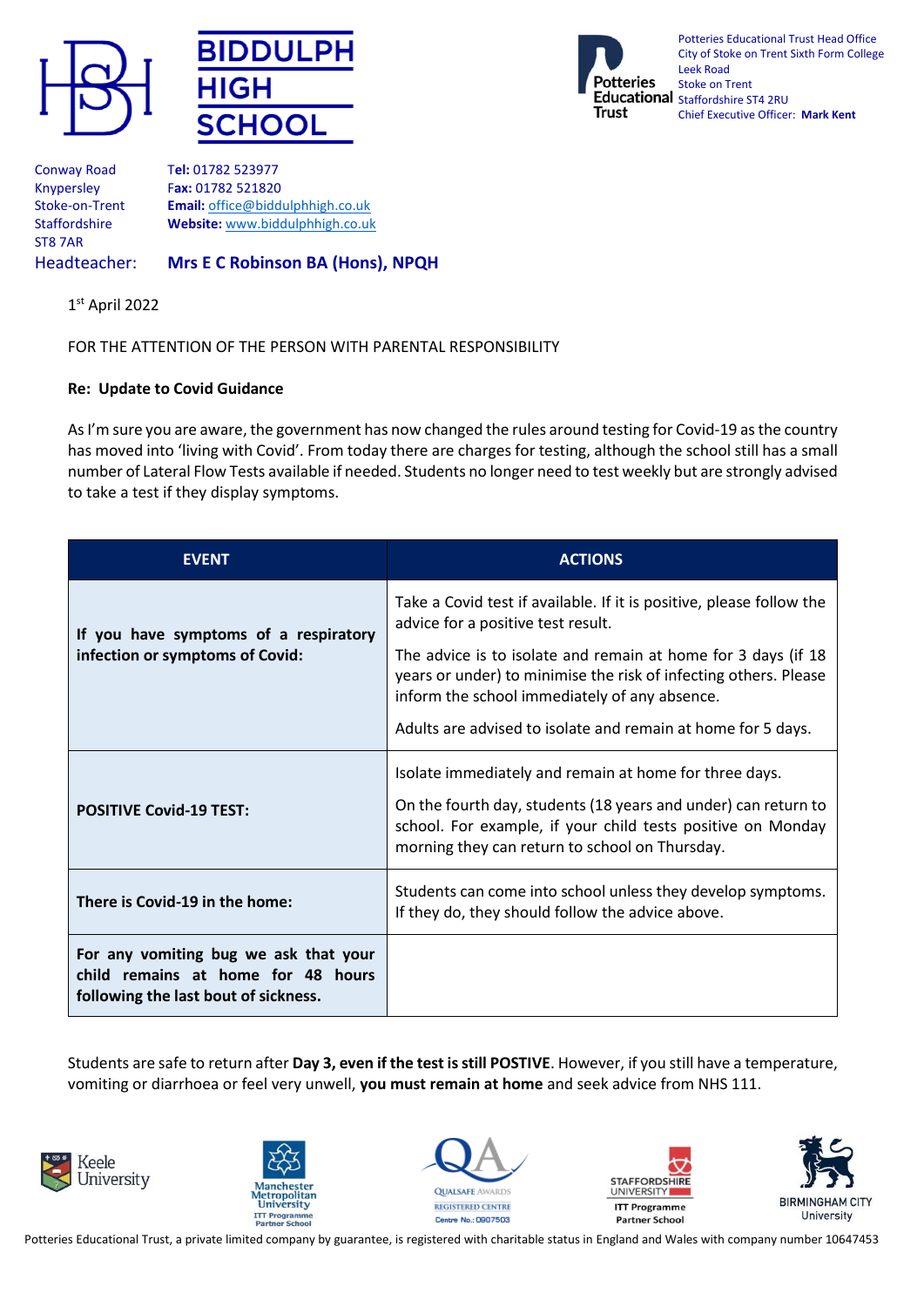





Potteries Educational Trust Head Office City of Stoke on Trent Sixth Form College Leek Road Stoke on Trent Educational Staffordshire ST4 2RU Chief Executive Officer: **Mark Kent**

ST8 7AR

Conway Road T**el:** 01782 523977 Knypersley F**ax:** 01782 521820 Stoke-on-Trent **Email:** [office@biddulphhigh.co.uk](mailto:office@biddulphhigh.co.uk) Staffordshire **Website:** [www.biddulphhigh.co.uk](http://www.biddulphhigh.co.uk/) 

## Headteacher: **Mrs E C Robinson BA (Hons), NPQH**

1 st April 2022

FOR THE ATTENTION OF THE PERSON WITH PARENTAL RESPONSIBILITY

## **Re: Update to Covid Guidance**

As I'm sure you are aware, the government has now changed the rules around testing for Covid-19 as the country has moved into 'living with Covid'. From today there are charges for testing, although the school still has a small number of Lateral Flow Tests available if needed. Students no longer need to test weekly but are strongly advised to take a test if they display symptoms.

| <b>EVENT</b>                                                                                                        | <b>ACTIONS</b>                                                                                                                                                                                                                                     |
|---------------------------------------------------------------------------------------------------------------------|----------------------------------------------------------------------------------------------------------------------------------------------------------------------------------------------------------------------------------------------------|
| If you have symptoms of a respiratory<br>infection or symptoms of Covid:                                            | Take a Covid test if available. If it is positive, please follow the<br>advice for a positive test result.                                                                                                                                         |
|                                                                                                                     | The advice is to isolate and remain at home for 3 days (if 18<br>years or under) to minimise the risk of infecting others. Please<br>inform the school immediately of any absence.<br>Adults are advised to isolate and remain at home for 5 days. |
|                                                                                                                     | Isolate immediately and remain at home for three days.                                                                                                                                                                                             |
| <b>POSITIVE Covid-19 TEST:</b>                                                                                      | On the fourth day, students (18 years and under) can return to<br>school. For example, if your child tests positive on Monday<br>morning they can return to school on Thursday.                                                                    |
| There is Covid-19 in the home:                                                                                      | Students can come into school unless they develop symptoms.<br>If they do, they should follow the advice above.                                                                                                                                    |
| For any vomiting bug we ask that your<br>child remains at home for 48 hours<br>following the last bout of sickness. |                                                                                                                                                                                                                                                    |

Students are safe to return after **Day 3, even if the test is still POSTIVE**. However, if you still have a temperature, vomiting or diarrhoea or feel very unwell, **you must remain at home** and seek advice from NHS 111.